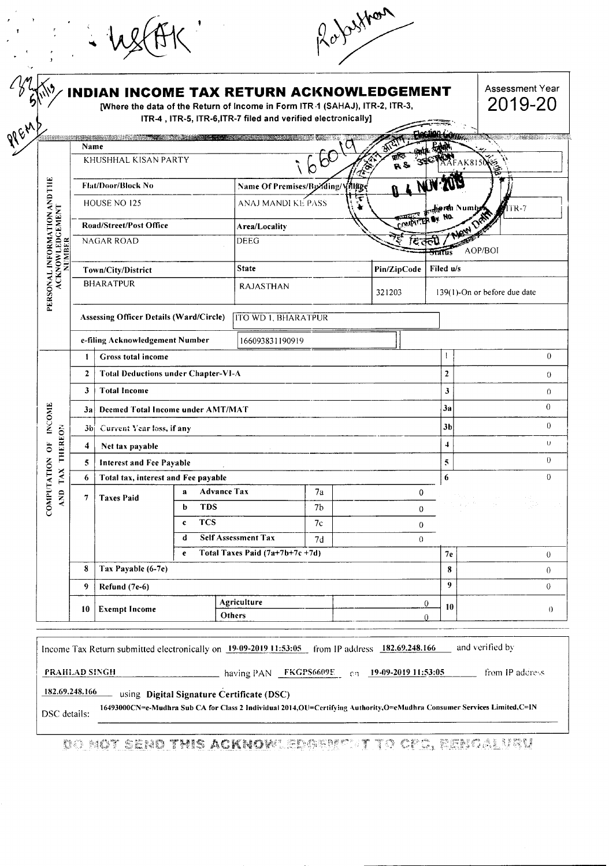|                                                           |                      |                                                                                                                |                                   | <b>INDIAN INCOME TAX RETURN ACKNOWLEDGEMENT</b><br>[Where the data of the Return of Income in Form ITR 1 (SAHAJ), ITR-2, ITR-3,<br>ITR-4, ITR-5, ITR-6, ITR-7 filed and verified electronically] |                            |    |                              |                   | Assessment Year<br>2019-20   |  |
|-----------------------------------------------------------|----------------------|----------------------------------------------------------------------------------------------------------------|-----------------------------------|--------------------------------------------------------------------------------------------------------------------------------------------------------------------------------------------------|----------------------------|----|------------------------------|-------------------|------------------------------|--|
|                                                           | Name                 | a se de la construcción de la construcción de la construcción de la construcción de la construcción de la cons |                                   |                                                                                                                                                                                                  |                            |    |                              |                   | <b>STORE SERVICE SERVICE</b> |  |
|                                                           | KHUSHHAL KISAN PARTY |                                                                                                                |                                   |                                                                                                                                                                                                  | R&                         |    |                              |                   | AFAK8150                     |  |
|                                                           |                      | <b>Flat/Door/Block No</b>                                                                                      |                                   | Name Of Premises/By ding/Village                                                                                                                                                                 |                            |    |                              |                   |                              |  |
|                                                           |                      | HOUSE NO 125                                                                                                   |                                   |                                                                                                                                                                                                  | ANAJ MANDI KE PASS         |    |                              | ersh Numbe<br>NO. | 11R-7                        |  |
|                                                           |                      | <b>Road/Street/Post Office</b>                                                                                 |                                   | Area/Locality                                                                                                                                                                                    |                            |    |                              |                   |                              |  |
| PERSONAL INFORMATION AND THE<br>ACKNOWLEDGEMENT<br>NUMBER |                      | <b>NAGAR ROAD</b>                                                                                              |                                   | <b>DEEG</b>                                                                                                                                                                                      |                            |    |                              | mis               | AOP/BOI                      |  |
|                                                           |                      | Town/City/District                                                                                             |                                   | <b>State</b>                                                                                                                                                                                     |                            |    | Pin/ZipCode                  | Filed u/s         |                              |  |
|                                                           | <b>BHARATPUR</b>     |                                                                                                                |                                   | <b>RAJASTHAN</b><br>321203                                                                                                                                                                       |                            |    | 139(1)-On or before due date |                   |                              |  |
|                                                           |                      | <b>Assessing Officer Details (Ward/Circle)</b>                                                                 |                                   | ITO WD 1, BHARATPUR                                                                                                                                                                              |                            |    |                              |                   |                              |  |
|                                                           |                      | e-filing Acknowledgement Number                                                                                |                                   | 166093831190919                                                                                                                                                                                  |                            |    |                              |                   |                              |  |
|                                                           | 1                    | <b>Gross total income</b>                                                                                      |                                   |                                                                                                                                                                                                  |                            |    |                              |                   |                              |  |
|                                                           | $\overline{2}$       | <b>Total Deductions under Chapter-VI-A</b>                                                                     |                                   |                                                                                                                                                                                                  |                            |    |                              | $\overline{2}$    |                              |  |
|                                                           | 3                    | <b>Total Income</b>                                                                                            |                                   |                                                                                                                                                                                                  |                            |    |                              | 3                 |                              |  |
|                                                           | За                   |                                                                                                                | Deemed Total Income under AMT/MAT |                                                                                                                                                                                                  |                            |    |                              | За                |                              |  |
| <b>INCOME</b>                                             | 3bi                  | Current Year loss, if any                                                                                      |                                   |                                                                                                                                                                                                  |                            |    |                              | 3b                |                              |  |
| <b>THEREON</b><br>$\overline{\overline{6}}$               | 4                    | Net tax payable                                                                                                |                                   |                                                                                                                                                                                                  |                            |    |                              |                   |                              |  |
| $\leq$                                                    | 5                    | Interest and Fee Payable                                                                                       |                                   |                                                                                                                                                                                                  |                            |    |                              | 5                 |                              |  |
| TAX                                                       | 6                    | Total tax, interest and Fee payable                                                                            |                                   |                                                                                                                                                                                                  |                            |    |                              | 6                 |                              |  |
| COMPUTATIC<br><b>AND</b>                                  | $\tau$               | <b>Taxes Paid</b>                                                                                              | a                                 | <b>Advance Tax</b>                                                                                                                                                                               | 7a                         |    | 0                            |                   |                              |  |
|                                                           |                      |                                                                                                                | <b>TDS</b><br>b                   |                                                                                                                                                                                                  | 7b                         |    | $\mathbf{0}$                 |                   |                              |  |
|                                                           |                      |                                                                                                                |                                   | <b>TCS</b><br>$\mathbf{c}$<br>d                                                                                                                                                                  | <b>Self Assessment Tax</b> | 7c |                              | $\boldsymbol{0}$  |                              |  |
|                                                           |                      |                                                                                                                | e                                 | Total Taxes Paid (7a+7b+7c+7d)                                                                                                                                                                   | 7d                         |    | $\theta$                     | 7e                |                              |  |
|                                                           | 8                    | Tax Payable (6-7e)                                                                                             |                                   |                                                                                                                                                                                                  |                            |    |                              | 8                 |                              |  |
|                                                           | 9.                   | Refund (7e-6)                                                                                                  |                                   |                                                                                                                                                                                                  |                            |    |                              | $\boldsymbol{Q}$  |                              |  |
|                                                           | 10                   | <b>Exempt Income</b>                                                                                           |                                   | Agriculture                                                                                                                                                                                      |                            |    |                              | $\theta$<br>10    |                              |  |

182.69.248.166 using Digital Signature Certificate (DSC) ~

 $\dot{\mathcal{U}}$ 

16493000CN=e-Mudhra Sub CA for Class 2 Individual 2014, OU=Certifying Authority, O=eMudhra Consumer Services Limited, C=IN DSC details:

DO NOT SEND THIS ACKNOWLEDGER TITO OFG, EENGALVRU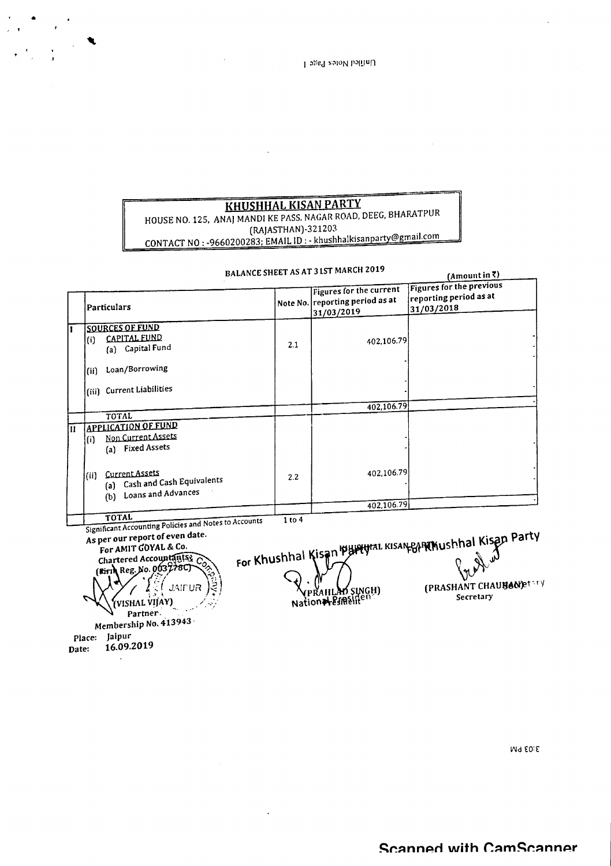## **KHUSHHAL KISAN PARTY**

# HOUSE NO. 125. ANA) MANDl KE PASS. NAGARROAD. DEEG. BHARATPUR

 $\sim$ 

•

(RAJASTHAN)-321203 CONTACT NO : -9660200283; EMAIL ID : - khushhalkisanpar

|       |                                                                                                                                                                                                                                                                                |        | BALANCE SHEET AS AT 31ST MARCH 2019                                      | $(A$ mount in $\bar{x}$ )                                                                     |
|-------|--------------------------------------------------------------------------------------------------------------------------------------------------------------------------------------------------------------------------------------------------------------------------------|--------|--------------------------------------------------------------------------|-----------------------------------------------------------------------------------------------|
|       | Particulars                                                                                                                                                                                                                                                                    |        | Figures for the current<br>Note No. reporting period as at<br>31/03/2019 | Figures for the previous<br>reporting period as at<br>31/03/2018                              |
| 1     | <b>SOURCES OF FUND</b><br><b>CAPITAL FUND</b><br>(i)<br>(a) Capital Fund                                                                                                                                                                                                       | 2.1    | 402.106.79                                                               |                                                                                               |
|       | Loan/Borrowing<br>(ii)                                                                                                                                                                                                                                                         |        |                                                                          |                                                                                               |
|       | (iii) Current Liabilities                                                                                                                                                                                                                                                      |        | 402.106.79                                                               |                                                                                               |
|       | TOTAL                                                                                                                                                                                                                                                                          |        |                                                                          |                                                                                               |
| Π     | <b>APPLICATION OF FUND</b><br>Non Current Assets<br>(i)<br>(a) Fixed Assets                                                                                                                                                                                                    |        |                                                                          |                                                                                               |
|       | Current Assets<br>(iii)<br>(a) Cash and Cash Equivalents<br>(b) Loans and Advances                                                                                                                                                                                             | 2.2    | 402.106.79                                                               |                                                                                               |
|       |                                                                                                                                                                                                                                                                                |        | 402.106.79                                                               |                                                                                               |
|       | TOTAL<br>Significant Accounting Policies and Notes to Accounts<br>As per our report of even date.<br>For AMIT GOYAL & Co.<br>Chartered Accountants Co.<br>(Firth Reg. No. 003278C)<br><b>JAIPUR</b><br>VISHAL VIJAY)<br>Partner.<br>Membership No. 413943.<br>Jaipur<br>Place: | 1 to 4 | <b>VPRAHLAD SINGH)</b><br>Nation <del>al Espec</del> ifien               | For Khushhal Kisan Burgunal Kisan Bangham Risan Party<br>(PRASHANT CHAUBANE tary<br>Secretary |
| Date: | 16.09.2019                                                                                                                                                                                                                                                                     |        |                                                                          |                                                                                               |

M4 E0:E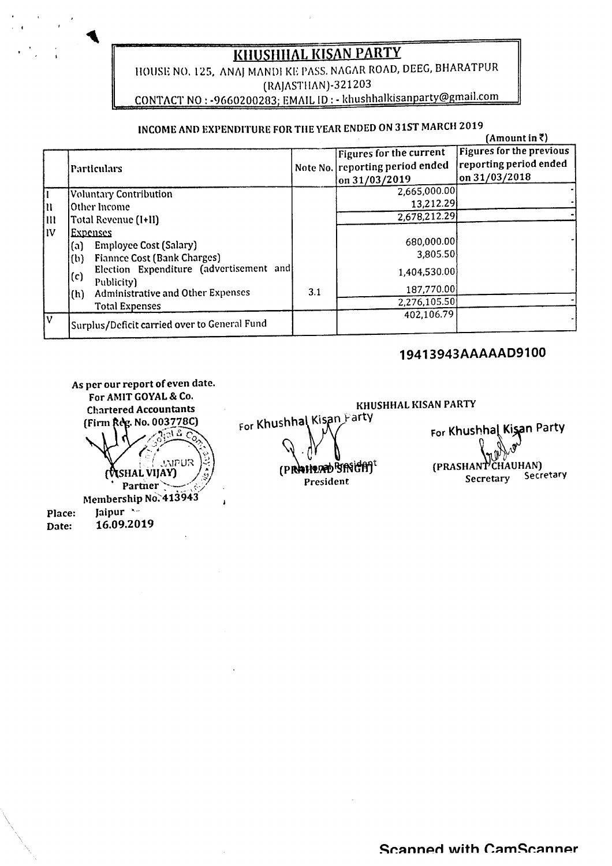## **KHUSHHAL KISAN PARTY**

HOUSE NO. 125, ANAJ MANDI KE PASS. NAGAR ROAD, DEEG, BHARATPUR (RAJASTHAN)-321203 CONTACT NO: - 9660200283; EMAIL ID: - khushhalkisanparty@gmail.com

## INCOME AND EXPENDITURE FOR THE YEAR ENDED ON 31ST MARCH 2019

|          | INCOMB AND BALBADITONS FOR THE FEAR BREE                                                                                                 |     |                                                                                         | $(Amount in \bar{z})$                                                      |
|----------|------------------------------------------------------------------------------------------------------------------------------------------|-----|-----------------------------------------------------------------------------------------|----------------------------------------------------------------------------|
|          | Particulars                                                                                                                              |     | Figures for the current<br>Note No. reporting period ended<br>$\frac{\tan 31}{03}/2019$ | <b>Figures for the previous</b><br>reporting period ended<br>on 31/03/2018 |
| lu<br>İШ | <b>Voluntary Contribution</b><br>Other Income<br>Total Revenue (I+II)                                                                    |     | 2,665,000.00<br>13,212.29<br>2,678,212.29                                               |                                                                            |
| liv      | Expenses<br><b>Employee Cost (Salary)</b><br>(a)<br>Fiannee Cost (Bank Charges)<br>(b)                                                   |     | 680,000.00<br>3,805.50                                                                  |                                                                            |
|          | Election Expenditure (advertisement and<br>(c)<br>Publicity)<br><b>Administrative and Other Expenses</b><br>(h)<br><b>Total Expenses</b> | 3.1 | 1,404,530.00<br>187,770.00<br>2,276,105.50                                              |                                                                            |
| I٧       | Surplus/Deficit carried over to General Fund                                                                                             |     | 402,106.79                                                                              |                                                                            |

## 19413943AAAAAD9100

KHUSHHAL KISAN PARTY



For Khushhal Kisan Party (PRAHERD BRIGHT President

For Khushhal Kisan Party ČHAUHAN) (PRASHANT Secretary Secretary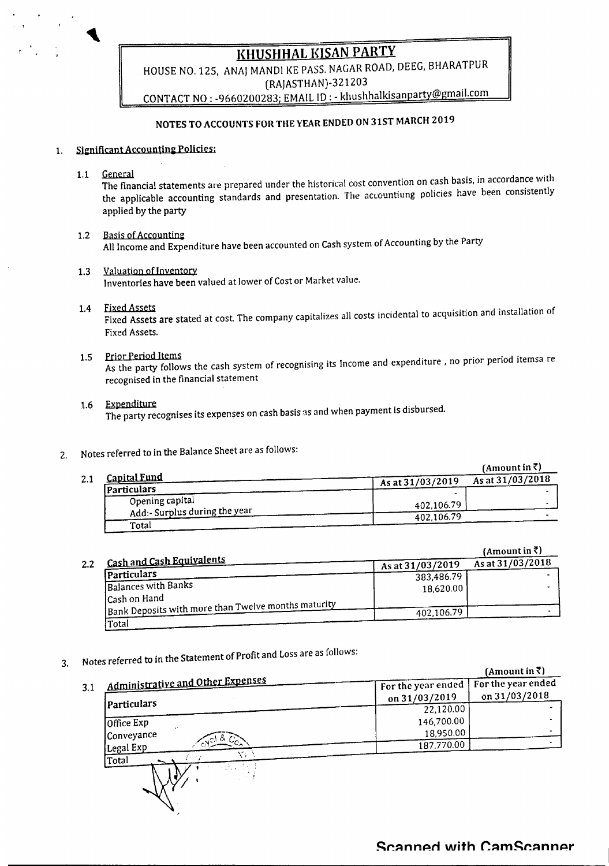**KHUSHHAL KISAN PARTY** 

HOUSE NO. 125, ANAJ MANDI KE PASS. NAGAR ROAD, DEEG, BHARATPUR (RAJASTHAN)-321203 CONTACT NO: - 9660200283; EMAIL ID: - khushhalkisanparty@gmail.com

## NOTES TO ACCOUNTS FOR THE YEAR ENDED ON 31ST MARCH 2019

#### **Significant Accounting Policies:**  $\mathbf{1}$ .

General  $1.1$ 

The financial statements are prepared under the historical cost convention on cash basis, in accordance with the applicable accounting standards and presentation. The accountiung policies have been consistently applied by the party

- **Basis of Accounting**  $1.2$ All Income and Expenditure have been accounted on Cash system of Accounting by the Party
- Valuation of Inventory  $1.3$ Inventories have been valued at lower of Cost or Market value.
- 1.4 Fixed Assets

Fixed Assets are stated at cost. The company capitalizes all costs incidental to acquisition and installation of Fixed Assets.

1.5 Prior Period Items As the party follows the cash system of recognising its Income and expenditure, no prior period itemsa re recognised in the financial statement

#### 1.6 Expenditure

The party recognises its expenses on cash basis as and when payment is disbursed.

- Notes referred to in the Balance Sheet are as follows:  $2.$ 
	- (Amount in  $\bar{z}$ ) **Capital Fund** As at 31/03/2018  $2.1$ As at 31/03/2019 **Particulars** Opening capital 402,106.79 Add:- Surplus during the year 402,106.79 Total

(Amount in  $\bar{z}$ ) **Cash and Cash Equivalents** As at 31/03/2018  $2.2$ As at 31/03/2019 Particulars 383,486.79 **Balances with Banks** 18,620.00 Cash on Hand Bank Deposits with more than Twelve months maturity 402,106.79 Total

Notes referred to in the Statement of Profit and Loss are as follows: 3.

|     |                                          |                    | (Amount in ₹)      |
|-----|------------------------------------------|--------------------|--------------------|
| 3.1 | <u>Administrative and Other Expenses</u> | For the year ended | For the year ended |
|     |                                          | on 31/03/2019      | on 31/03/2018      |
|     | <i>(Particulars</i>                      | 22,120.00          |                    |
|     | Office Exp                               | 146,700.00         |                    |
|     | $\epsilon$<br>Conveyance                 | 18,950.00          |                    |
|     | 6800<br>Legal Exp                        | 187,770.00         |                    |
|     | Total                                    |                    |                    |
|     |                                          |                    |                    |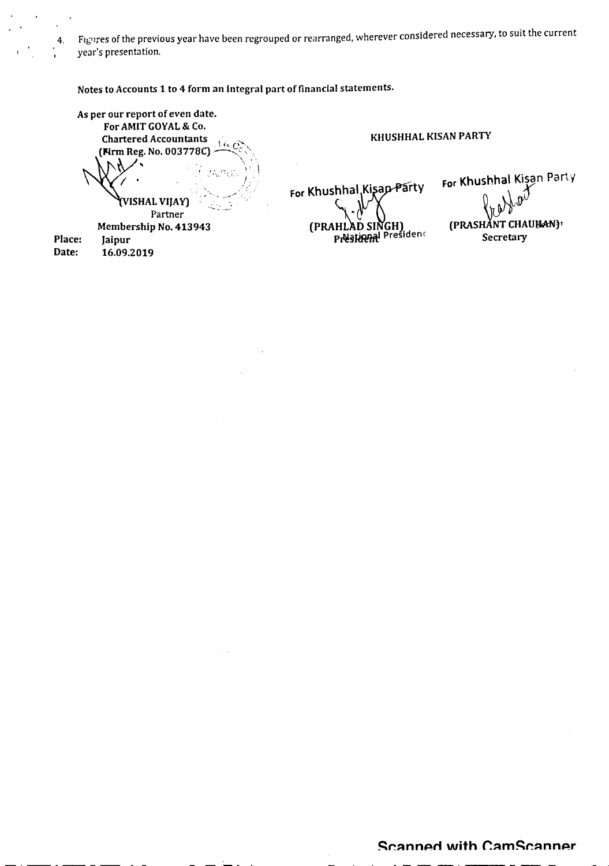4. Figures of the previous year have been regrouped or rearranged, wherever considered necessary, to suit the current year's presentation.

Notes to Accounts 1 to 4 form an integral part of financial statements.

As per our report of even date. For AMIT GOYAL& Co. Chartered Accountants (**Fig.** *i-i-...***)**<br>(**Firm Reg. No. 003778C**)<br>(

KHUSHHAL KISAN PARTY

(VISHAL VIJAY) "- Partner Membership No. 413943

Place: Jaipur Date: 16.09.2019

For Khushhal, Kisap-Party (PRAHLAD SINGH)<br>President

For Khushhal Kişan Party (PRASHANT CHAUHAN)<sup>t</sup> Secretary

#### **Scanned with CamScanner**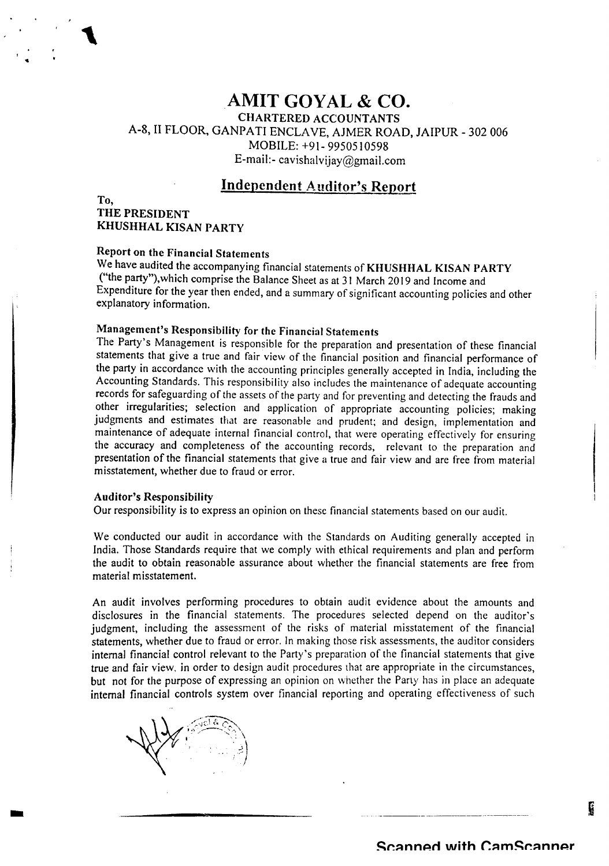## **AMIT GOYAL & CO.**

CHARTERED ACCOUNTANTS

A-8, II FLOOR, GANPA TI ENCLA YE, AJMER ROAD, JAIPUR - 302 006 MOBILE: +91- 9950510598 E-mail:-cavishalvijay@gmail.com

### **Independent Auditor's Report**

## THE PRESIDENT KHUSHHAL KISAN PARTY

To,

## Report on the Financial Statements

We have audited the accompanying financial statements of KHUSHHAL KISAN PARTY {"the party"),which comprise the Balance Sheet as at 31 March 2019 and Income and Expenditure for the year then ended, and a summary of significant accounting policies and other explanatory information.

### Management's Responsibility for the Financial Statements

The Party's Management is responsible for the preparation and presentation of these financial statements that give a true and fair view of the financial position and financial performance of the party in accordance with the accounting principles generally accepted in India, including the Accounting Standards. This responsibility also includes the maintenance of adequate accounting records for safeguarding of the assets of the party and for preventing and detecting the frauds and other irregularities; selection and application of appropriate accounting policies; making judgments and estimates that are reasonable and prudent; and design, implementation and maintenance of adequate internal financial control, that were operating effectively for ensuring the accuracy and completeness of the accounting records, relevant to the preparation and presentation of the financial statements that give a true and fair view and are free from material misstatement, whether due to fraud or error.

#### Auditor's Responsibility

Our responsibility is to express an opinion on these financial statements based on our audit.

We conducted our audit in accordance with the Standards on Auditing generally accepted in India. Those Standards require that we comply with ethical requirements and plan and perform the audit to obtain reasonable assurance about whether the financial statements are free from material misstatement.

An audit involves performing procedures to obtain audit evidence about the amounts and disclosures in the financial statements. The procedures selected depend on the auditor's judgment, including the assessment of the risks of material misstatement of the financial statements, whether due to fraud or error. In making those risk assessments, the auditor considers internal financial control relevant to the Party's preparation of the financial statements that give true and fair view, in order to design audit procedures that are appropriate in the circumstances, but not for the purpose of expressing an opinion on whether the Party has in place an adequate internal financial controls system over financial reporting and operating effectiveness of such



-

È.